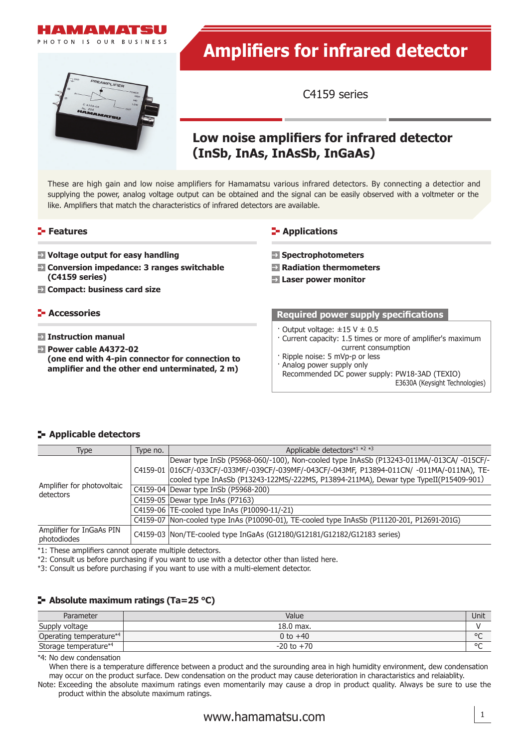

AMPLIFIER

# **Amplifiers for infrared detector**

C4159 series

## **Low noise amplifiers for infrared detector (InSb, InAs, InAsSb, InGaAs)**

These are high gain and low noise amplifiers for Hamamatsu various infrared detectors. By connecting a detectior and supplying the power, analog voltage output can be obtained and the signal can be easily observed with a voltmeter or the like. Amplifiers that match the characteristics of infrared detectors are available.

#### **Features**

- **Voltage output for easy handling**
- **Conversion impedance: 3 ranges switchable (C4159 series)**
- **Compact: business card size**

#### **Accessories**

- **Instruction manual**
- **Power cable A4372-02 (one end with 4-pin connector for connection to amplifier and the other end unterminated, 2 m)**

#### **E-** Applications

- **Spectrophotometers**
- **Radiation thermometers**
- **Laser power monitor**

#### **Required power supply specifications**

- $\cdot$  Output voltage:  $\pm 15$  V  $\pm$  0.5
- · Current capacity: 1.5 times or more of amplifier's maximum current consumption
- · Ripple noise: 5 mVp-p or less
- · Analog power supply only
- Recommended DC power supply: PW18-3AD (TEXIO) E3630A (Keysight Technologies)

#### $\blacktriangleright$  **Applicable detectors**

| Type                                    | Type no. | Applicable detectors*1 *2 *3                                                                 |  |
|-----------------------------------------|----------|----------------------------------------------------------------------------------------------|--|
| Amplifier for photovoltaic<br>detectors |          | Dewar type InSb (P5968-060/-100), Non-cooled type InAsSb (P13243-011MA/-013CA/-015CF/-       |  |
|                                         |          | C4159-01  016CF/-033CF/-033MF/-039CF/-039MF/-043CF/-043MF, P13894-011CN/ -011MA/-011NA), TE- |  |
|                                         |          | cooled type InAsSb (P13243-122MS/-222MS, P13894-211MA), Dewar type TypeII(P15409-901)        |  |
|                                         |          | C4159-04 Dewar type InSb (P5968-200)                                                         |  |
|                                         |          | C4159-05   Dewar type InAs (P7163)                                                           |  |
|                                         |          | C4159-06 TE-cooled type InAs (P10090-11/-21)                                                 |  |
|                                         |          | C4159-07 Non-cooled type InAs (P10090-01), TE-cooled type InAsSb (P11120-201, P12691-201G)   |  |
| Amplifier for InGaAs PIN<br>photodiodes |          | C4159-03   Non/TE-cooled type InGaAs (G12180/G12181/G12182/G12183 series)                    |  |

\*1: These amplifiers cannot operate multiple detectors.

\*2: Consult us before purchasing if you want to use with a detector other than listed here.

\*3: Consult us before purchasing if you want to use with a multi-element detector.

### **Absolute maximum ratings (Ta=25 °C)**

| Parameter                           | Value          | Unit    |
|-------------------------------------|----------------|---------|
| Supply voltage                      | $18.0$ max.    |         |
| Operating temperature* <sup>4</sup> | 0 to $+40$     | $\circ$ |
| Storage temperature*4               | $-20$ to $+70$ | $\circ$ |

\*4: No dew condensation

When there is a temperature difference between a product and the surounding area in high humidity environment, dew condensation may occur on the product surface. Dew condensation on the product may cause deterioration in charactaristics and relaiablity.

Note: Exceeding the absolute maximum ratings even momentarily may cause a drop in product quality. Always be sure to use the product within the absolute maximum ratings.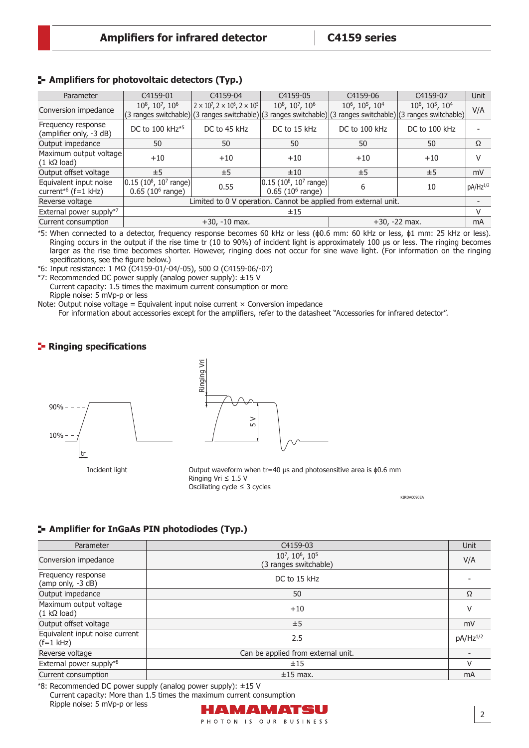#### **Amplifiers for photovoltaic detectors (Typ.)**

| Parameter                                                    | C4159-01                                                                  | C4159-04                                                                                                                                                             | C4159-05                                                     | C4159-06                                            | C4159-07                                            | <b>Unit</b>   |
|--------------------------------------------------------------|---------------------------------------------------------------------------|----------------------------------------------------------------------------------------------------------------------------------------------------------------------|--------------------------------------------------------------|-----------------------------------------------------|-----------------------------------------------------|---------------|
| Conversion impedance                                         | 108, 107, 106                                                             | $2 \times 10^7$ , $2 \times 10^6$ , $2 \times 10^5$<br>(3 ranges switchable) (3 ranges switchable) (3 ranges switchable) (3 ranges switchable) (3 ranges switchable) | 108, 107, 106                                                | 10 <sup>6</sup> , 10 <sup>5</sup> , 10 <sup>4</sup> | 10 <sup>6</sup> , 10 <sup>5</sup> , 10 <sup>4</sup> | V/A           |
| Frequency response<br>(amplifier only, -3 dB)                | DC to 100 kHz <sup>*5</sup>                                               | DC to 45 kHz                                                                                                                                                         | DC to 15 kHz                                                 | DC to 100 kHz                                       | DC to 100 kHz                                       |               |
| Output impedance                                             | 50                                                                        | 50                                                                                                                                                                   | 50                                                           | 50                                                  | 50                                                  | Ω             |
| Maximum output voltage<br>$(1 \text{ k}\Omega \text{ load})$ | $+10$                                                                     | $+10$                                                                                                                                                                | $+10$                                                        | $+10$                                               | $+10$                                               | v             |
| Output offset voltage                                        | ±5                                                                        | ±5                                                                                                                                                                   | ±10                                                          | ±5                                                  | ±5                                                  | mV            |
| Equivalent input noise<br>current*6 (f=1 kHz)                | $0.15$ (10 <sup>8</sup> , 10 <sup>7</sup> range)<br>$0.65$ (10 $6$ range) | 0.55                                                                                                                                                                 | $ 0.15 (10^8, 10^7 \text{ range}) $<br>$0.65$ (10 $6$ range) | 6                                                   | 10                                                  | $pA/Hz^{1/2}$ |
| Reverse voltage                                              | Limited to 0 V operation. Cannot be applied from external unit.           |                                                                                                                                                                      |                                                              |                                                     |                                                     |               |
| External power supply*7                                      | ±15                                                                       |                                                                                                                                                                      |                                                              |                                                     |                                                     | V             |
| Current consumption                                          |                                                                           | $+30, -10$ max.                                                                                                                                                      | $+30, -22$ max.                                              |                                                     | mA                                                  |               |

\*5: When connected to a detector, frequency response becomes 60 kHz or less (ϕ0.6 mm: 60 kHz or less, ϕ1 mm: 25 kHz or less). Ringing occurs in the output if the rise time tr (10 to 90%) of incident light is approximately 100 μs or less. The ringing becomes larger as the rise time becomes shorter. However, ringing does not occur for sine wave light. (For information on the ringing specifications, see the figure below.)

\*6: Input resistance: 1 MΩ (C4159-01/-04/-05), 500 Ω (C4159-06/-07)

\*7: Recommended DC power supply (analog power supply): ±15 V Current capacity: 1.5 times the maximum current consumption or more Ripple noise: 5 mVp-p or less

Note: Output noise voltage = Equivalent input noise current  $\times$  Conversion impedance For information about accessories except for the amplifiers, refer to the datasheet "Accessories for infrared detector".

#### **Ringing specifications**



Incident light



Output waveform when tr=40 µs and photosensitive area is ϕ0.6 mm Ringing Vri ≤ 1.5 V Oscillating cycle ≤ 3 cycles

KIRDA0090EA

2

#### **Amplifier for InGaAs PIN photodiodes (Typ.)**

| Parameter                                     | C4159-03                                                        | <b>Unit</b>          |
|-----------------------------------------------|-----------------------------------------------------------------|----------------------|
| Conversion impedance                          | 107, 10 <sup>6</sup> , 10 <sup>5</sup><br>(3 ranges switchable) | V/A                  |
| Frequency response<br>(amp only, -3 dB)       | DC to 15 kHz                                                    |                      |
| Output impedance                              | 50                                                              | Ω                    |
| Maximum output voltage<br>$(1 k\Omega$ load)  | $+10$                                                           | v                    |
| Output offset voltage                         | ±5                                                              | mV                   |
| Equivalent input noise current<br>$(f=1$ kHz) | 2.5                                                             | pA/Hz <sup>1/2</sup> |
| Reverse voltage                               | Can be applied from external unit.                              |                      |
| External power supply*8                       | ±15                                                             | V                    |
| Current consumption                           | $±15$ max.                                                      | mA                   |

\*8: Recommended DC power supply (analog power supply): ±15 V Current capacity: More than 1.5 times the maximum current consumption Ripple noise: 5 mVp-p or lessHÆMÆMYATSU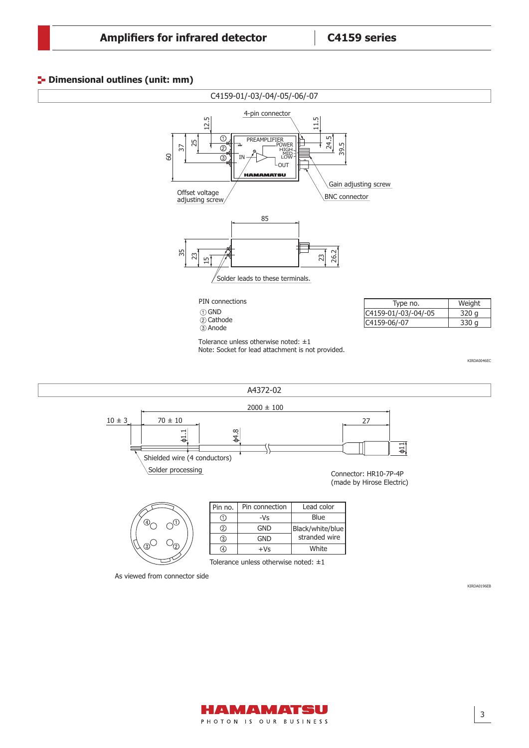#### **<sup>1</sup>** Dimensional outlines (unit: mm)





3